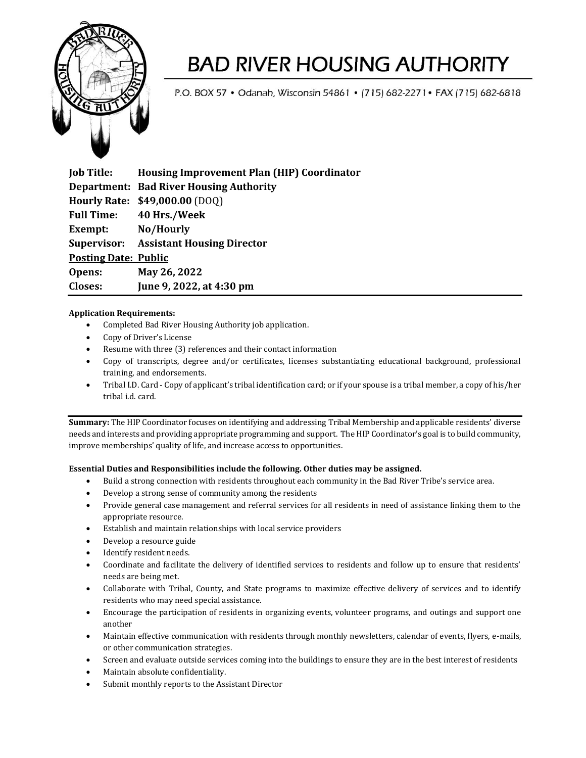

## **BAD RIVER HOUSING AUTHORITY**

P.O. BOX 57 . Odanah, Wisconsin 54861 . [715] 682-2271 . FAX [715] 682-6818

**Job Title: Housing Improvement Plan (HIP) Coordinator Department: Bad River Housing Authority Hourly Rate: \$49,000.00** (DOQ) **Full Time: 40 Hrs./Week Exempt: No/Hourly Supervisor: Assistant Housing Director Posting Date: Public Opens: May 26, 2022 Closes: June 9, 2022, at 4:30 pm** 

## **Application Requirements:**

- Completed Bad River Housing Authority job application.
- Copy of Driver's License
- Resume with three (3) references and their contact information
- Copy of transcripts, degree and/or certificates, licenses substantiating educational background, professional training, and endorsements.
- Tribal I.D. Card Copy of applicant's tribal identification card; or if your spouse is a tribal member, a copy of his/her tribal i.d. card.

**Summary:** The HIP Coordinator focuses on identifying and addressing Tribal Membership and applicable residents' diverse needs and interests and providing appropriate programming and support. The HIP Coordinator's goal is to build community, improve memberships' quality of life, and increase access to opportunities.

### **Essential Duties and Responsibilities include the following. Other duties may be assigned.**

- Build a strong connection with residents throughout each community in the Bad River Tribe's service area.
- Develop a strong sense of community among the residents
- Provide general case management and referral services for all residents in need of assistance linking them to the appropriate resource.
- Establish and maintain relationships with local service providers
- Develop a resource guide
- Identify resident needs.
- Coordinate and facilitate the delivery of identified services to residents and follow up to ensure that residents' needs are being met.
- Collaborate with Tribal, County, and State programs to maximize effective delivery of services and to identify residents who may need special assistance.
- Encourage the participation of residents in organizing events, volunteer programs, and outings and support one another
- Maintain effective communication with residents through monthly newsletters, calendar of events, flyers, e-mails, or other communication strategies.
- Screen and evaluate outside services coming into the buildings to ensure they are in the best interest of residents
- Maintain absolute confidentiality.
- Submit monthly reports to the Assistant Director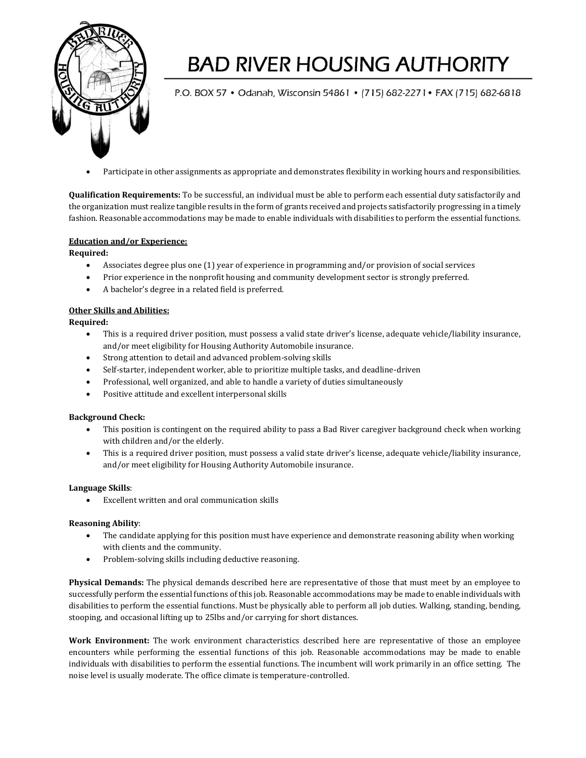

# **BAD RIVER HOUSING AUTHORITY**

P.O. BOX 57 • Odanah, Wisconsin 54861 • (715) 682-2271 • FAX (715) 682-6818

• Participate in other assignments as appropriate and demonstrates flexibility in working hours and responsibilities.

**Qualification Requirements:** To be successful, an individual must be able to perform each essential duty satisfactorily and the organization must realize tangible results in the form of grants received and projects satisfactorily progressing in a timely fashion. Reasonable accommodations may be made to enable individuals with disabilities to perform the essential functions.

#### **Education and/or Experience:**

**Required:**

- Associates degree plus one (1) year of experience in programming and/or provision of social services
- Prior experience in the nonprofit housing and community development sector is strongly preferred.
- A bachelor's degree in a related field is preferred.

#### **Other Skills and Abilities:**

**Required:**

- This is a required driver position, must possess a valid state driver's license, adequate vehicle/liability insurance, and/or meet eligibility for Housing Authority Automobile insurance.
- Strong attention to detail and advanced problem-solving skills
- Self-starter, independent worker, able to prioritize multiple tasks, and deadline-driven
- Professional, well organized, and able to handle a variety of duties simultaneously
- Positive attitude and excellent interpersonal skills

#### **Background Check:**

- This position is contingent on the required ability to pass a Bad River caregiver background check when working with children and/or the elderly.
- This is a required driver position, must possess a valid state driver's license, adequate vehicle/liability insurance, and/or meet eligibility for Housing Authority Automobile insurance.

#### **Language Skills**:

• Excellent written and oral communication skills

### **Reasoning Ability**:

- The candidate applying for this position must have experience and demonstrate reasoning ability when working with clients and the community.
- Problem-solving skills including deductive reasoning.

**Physical Demands:** The physical demands described here are representative of those that must meet by an employee to successfully perform the essential functions of this job. Reasonable accommodations may be made to enable individuals with disabilities to perform the essential functions. Must be physically able to perform all job duties. Walking, standing, bending, stooping, and occasional lifting up to 25lbs and/or carrying for short distances.

**Work Environment:** The work environment characteristics described here are representative of those an employee encounters while performing the essential functions of this job. Reasonable accommodations may be made to enable individuals with disabilities to perform the essential functions. The incumbent will work primarily in an office setting. The noise level is usually moderate. The office climate is temperature-controlled.